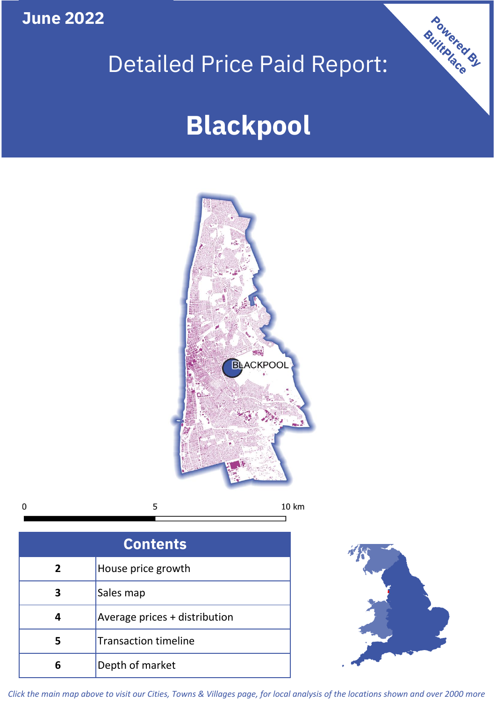**June 2022**

## Detailed Price Paid Report:

# **Blackpool**



 $\mathbf 0$ 5 10 km

| <b>Contents</b> |                               |  |  |
|-----------------|-------------------------------|--|--|
| $\overline{2}$  | House price growth            |  |  |
| 3               | Sales map                     |  |  |
|                 | Average prices + distribution |  |  |
| 5               | <b>Transaction timeline</b>   |  |  |
|                 | Depth of market               |  |  |



Powered By

*Click the main map above to visit our Cities, Towns & Villages page, for local analysis of the locations shown and over 2000 more*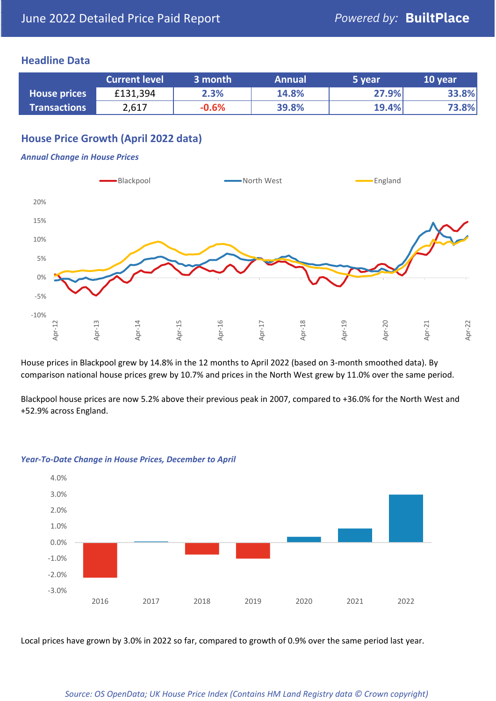## **Headline Data**

|                     | <b>Current level</b> | 3 month | <b>Annual</b> | 5 year | 10 year |
|---------------------|----------------------|---------|---------------|--------|---------|
| <b>House prices</b> | £131,394             | 2.3%    | 14.8%         | 27.9%  | 33.8%   |
| <b>Transactions</b> | 2,617                | $-0.6%$ | 39.8%         | 19.4%  | 73.8%   |

## **House Price Growth (April 2022 data)**

#### *Annual Change in House Prices*



House prices in Blackpool grew by 14.8% in the 12 months to April 2022 (based on 3-month smoothed data). By comparison national house prices grew by 10.7% and prices in the North West grew by 11.0% over the same period.

Blackpool house prices are now 5.2% above their previous peak in 2007, compared to +36.0% for the North West and +52.9% across England.



#### *Year-To-Date Change in House Prices, December to April*

Local prices have grown by 3.0% in 2022 so far, compared to growth of 0.9% over the same period last year.

#### *Source: OS OpenData; UK House Price Index (Contains HM Land Registry data © Crown copyright)*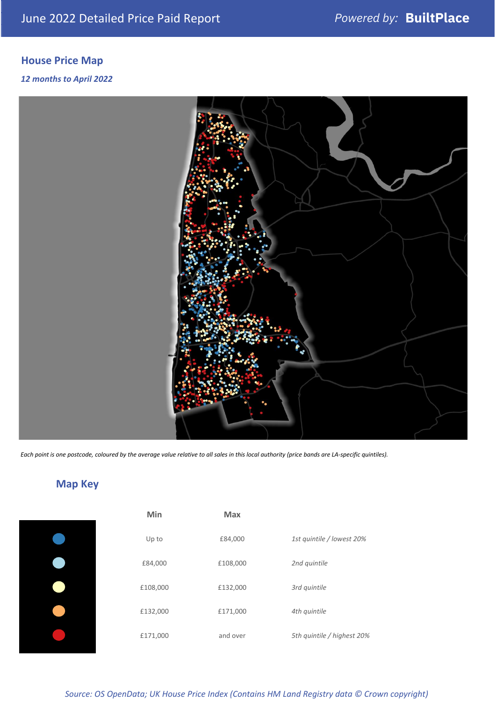## **House Price Map**

### *12 months to April 2022*



*Each point is one postcode, coloured by the average value relative to all sales in this local authority (price bands are LA-specific quintiles).*

## **Map Key**

| Min      | <b>Max</b> |                            |
|----------|------------|----------------------------|
| Up to    | £84,000    | 1st quintile / lowest 20%  |
| £84,000  | £108,000   | 2nd quintile               |
| £108,000 | £132,000   | 3rd quintile               |
| £132,000 | £171,000   | 4th quintile               |
| £171,000 | and over   | 5th quintile / highest 20% |
|          |            |                            |

## *Source: OS OpenData; UK House Price Index (Contains HM Land Registry data © Crown copyright)*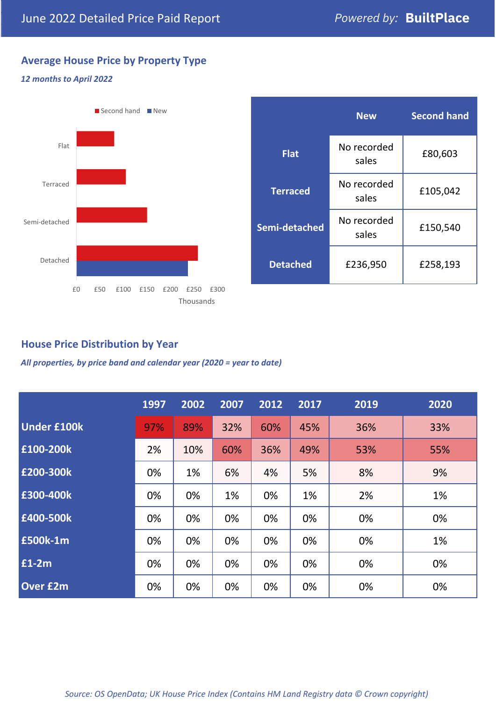## **Average House Price by Property Type**

### *12 months to April 2022*



|                 | <b>New</b>           | <b>Second hand</b> |  |
|-----------------|----------------------|--------------------|--|
| <b>Flat</b>     | No recorded<br>sales | £80,603            |  |
| <b>Terraced</b> | No recorded<br>sales | £105,042           |  |
| Semi-detached   | No recorded<br>sales | £150,540           |  |
| <b>Detached</b> | £236,950             | £258,193           |  |

## **House Price Distribution by Year**

*All properties, by price band and calendar year (2020 = year to date)*

|                    | 1997 | 2002 | 2007 | 2012 | 2017 | 2019 | 2020 |
|--------------------|------|------|------|------|------|------|------|
| <b>Under £100k</b> | 97%  | 89%  | 32%  | 60%  | 45%  | 36%  | 33%  |
| £100-200k          | 2%   | 10%  | 60%  | 36%  | 49%  | 53%  | 55%  |
| £200-300k          | 0%   | 1%   | 6%   | 4%   | 5%   | 8%   | 9%   |
| £300-400k          | 0%   | 0%   | 1%   | 0%   | 1%   | 2%   | 1%   |
| £400-500k          | 0%   | 0%   | 0%   | 0%   | 0%   | 0%   | 0%   |
| <b>£500k-1m</b>    | 0%   | 0%   | 0%   | 0%   | 0%   | 0%   | 1%   |
| £1-2m              | 0%   | 0%   | 0%   | 0%   | 0%   | 0%   | 0%   |
| <b>Over £2m</b>    | 0%   | 0%   | 0%   | 0%   | 0%   | 0%   | 0%   |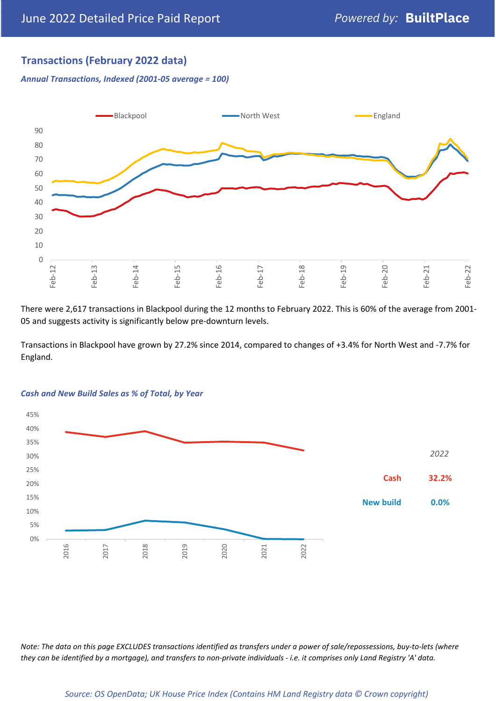## **Transactions (February 2022 data)**

*Annual Transactions, Indexed (2001-05 average = 100)*



There were 2,617 transactions in Blackpool during the 12 months to February 2022. This is 60% of the average from 2001- 05 and suggests activity is significantly below pre-downturn levels.

Transactions in Blackpool have grown by 27.2% since 2014, compared to changes of +3.4% for North West and -7.7% for England.



### *Cash and New Build Sales as % of Total, by Year*

*Note: The data on this page EXCLUDES transactions identified as transfers under a power of sale/repossessions, buy-to-lets (where they can be identified by a mortgage), and transfers to non-private individuals - i.e. it comprises only Land Registry 'A' data.*